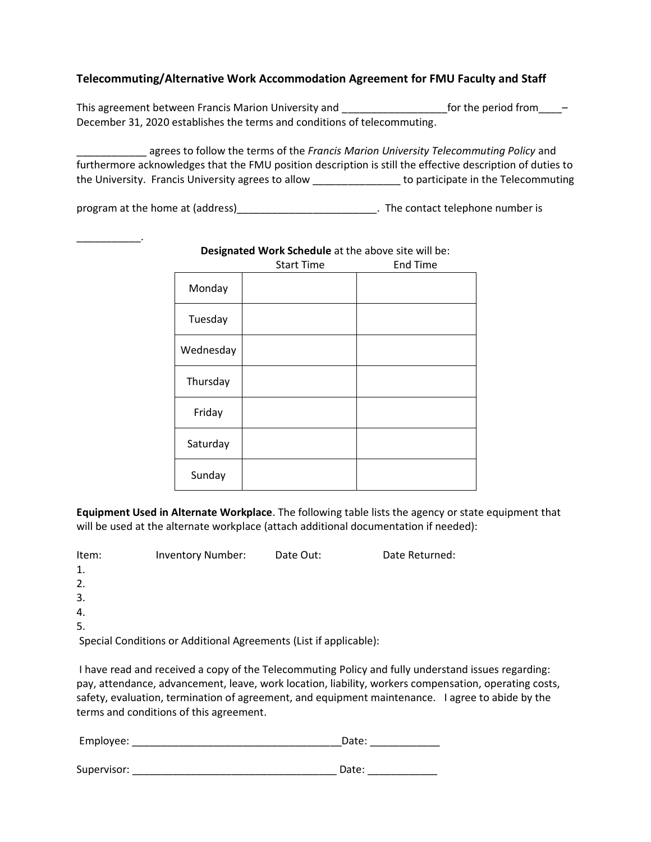# **Telecommuting/Alternative Work Accommodation Agreement for FMU Faculty and Staff**

This agreement between Francis Marion University and \_\_\_\_\_\_\_\_\_\_\_\_\_\_\_\_\_\_\_\_\_\_\_\_\_\_\_for the period from -December 31, 2020 establishes the terms and conditions of telecommuting.

\_\_\_\_\_\_\_\_\_\_\_\_ agrees to follow the terms of the *Francis Marion University Telecommuting Policy* and furthermore acknowledges that the FMU position description is still the effective description of duties to the University. Francis University agrees to allow \_\_\_\_\_\_\_\_\_\_\_\_\_\_\_ to participate in the Telecommuting

program at the home at (address)\_\_\_\_\_\_\_\_\_\_\_\_\_\_\_\_\_\_\_\_\_\_\_\_\_\_\_. The contact telephone number is

 $\mathcal{L}=\mathcal{L}$ 

|           | <b>Start Time</b> | <b>End Time</b> |
|-----------|-------------------|-----------------|
| Monday    |                   |                 |
| Tuesday   |                   |                 |
| Wednesday |                   |                 |
| Thursday  |                   |                 |
| Friday    |                   |                 |
| Saturday  |                   |                 |
| Sunday    |                   |                 |

#### **Designated Work Schedule** at the above site will be:

**Equipment Used in Alternate Workplace**. The following table lists the agency or state equipment that will be used at the alternate workplace (attach additional documentation if needed):

| Item: | <b>Inventory Number:</b>                                          | Date Out: | Date Returned: |
|-------|-------------------------------------------------------------------|-----------|----------------|
| 1.    |                                                                   |           |                |
| 2.    |                                                                   |           |                |
| 3.    |                                                                   |           |                |
| 4.    |                                                                   |           |                |
| 5.    |                                                                   |           |                |
|       | Special Conditions or Additional Agreements (List if applicable): |           |                |

 I have read and received a copy of the Telecommuting Policy and fully understand issues regarding: pay, attendance, advancement, leave, work location, liability, workers compensation, operating costs, safety, evaluation, termination of agreement, and equipment maintenance. I agree to abide by the terms and conditions of this agreement.

| Employee: | $\sim$ 4.4 $\sim$ .<br>лате |  |  |  |
|-----------|-----------------------------|--|--|--|
|           |                             |  |  |  |

| Supervisor: | лате |  |
|-------------|------|--|
|             |      |  |